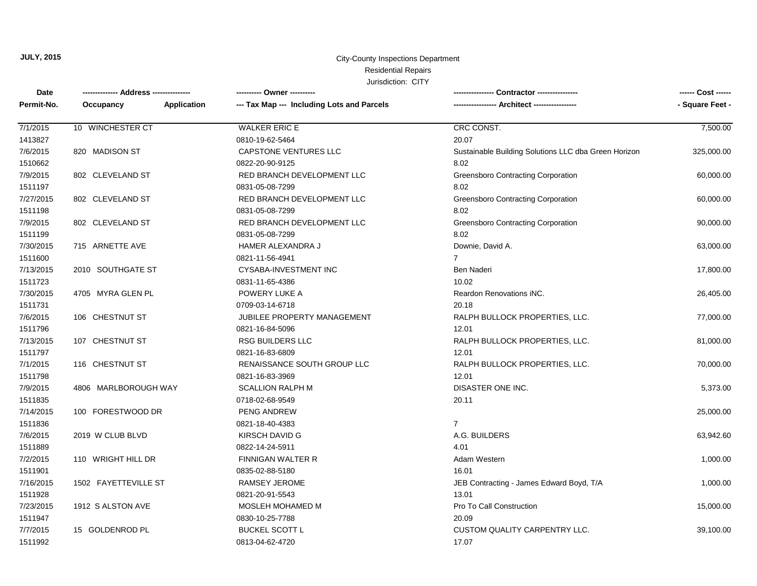#### City-County Inspections Department Residential Repairs

| Date       |                          | --------- Owner ----------                 |                                                      | ------ Cost ------ |
|------------|--------------------------|--------------------------------------------|------------------------------------------------------|--------------------|
| Permit-No. | Occupancy<br>Application | --- Tax Map --- Including Lots and Parcels |                                                      | - Square Feet -    |
| 7/1/2015   | 10 WINCHESTER CT         | <b>WALKER ERIC E</b>                       | CRC CONST.                                           | 7,500.00           |
| 1413827    |                          | 0810-19-62-5464                            | 20.07                                                |                    |
| 7/6/2015   | 820 MADISON ST           | <b>CAPSTONE VENTURES LLC</b>               | Sustainable Building Solutions LLC dba Green Horizon | 325,000.00         |
| 1510662    |                          | 0822-20-90-9125                            | 8.02                                                 |                    |
| 7/9/2015   | 802 CLEVELAND ST         | RED BRANCH DEVELOPMENT LLC                 | <b>Greensboro Contracting Corporation</b>            | 60,000.00          |
| 1511197    |                          | 0831-05-08-7299                            | 8.02                                                 |                    |
| 7/27/2015  | 802 CLEVELAND ST         | RED BRANCH DEVELOPMENT LLC                 | <b>Greensboro Contracting Corporation</b>            | 60,000.00          |
| 1511198    |                          | 0831-05-08-7299                            | 8.02                                                 |                    |
| 7/9/2015   | 802 CLEVELAND ST         | RED BRANCH DEVELOPMENT LLC                 | <b>Greensboro Contracting Corporation</b>            | 90,000.00          |
| 1511199    |                          | 0831-05-08-7299                            | 8.02                                                 |                    |
| 7/30/2015  | 715 ARNETTE AVE          | HAMER ALEXANDRA J                          | Downie, David A.                                     | 63,000.00          |
| 1511600    |                          | 0821-11-56-4941                            | $\overline{7}$                                       |                    |
| 7/13/2015  | 2010 SOUTHGATE ST        | CYSABA-INVESTMENT INC                      | Ben Naderi                                           | 17,800.00          |
| 1511723    |                          | 0831-11-65-4386                            | 10.02                                                |                    |
| 7/30/2015  | 4705 MYRA GLEN PL        | POWERY LUKE A                              | Reardon Renovations iNC.                             | 26,405.00          |
| 1511731    |                          | 0709-03-14-6718                            | 20.18                                                |                    |
| 7/6/2015   | 106 CHESTNUT ST          | <b>JUBILEE PROPERTY MANAGEMENT</b>         | RALPH BULLOCK PROPERTIES, LLC.                       | 77,000.00          |
| 1511796    |                          | 0821-16-84-5096                            | 12.01                                                |                    |
| 7/13/2015  | 107 CHESTNUT ST          | <b>RSG BUILDERS LLC</b>                    | RALPH BULLOCK PROPERTIES, LLC.                       | 81,000.00          |
| 1511797    |                          | 0821-16-83-6809                            | 12.01                                                |                    |
| 7/1/2015   | 116 CHESTNUT ST          | RENAISSANCE SOUTH GROUP LLC                | RALPH BULLOCK PROPERTIES, LLC.                       | 70,000.00          |
| 1511798    |                          | 0821-16-83-3969                            | 12.01                                                |                    |
| 7/9/2015   | 4806 MARLBOROUGH WAY     | <b>SCALLION RALPH M</b>                    | DISASTER ONE INC.                                    | 5,373.00           |
| 1511835    |                          | 0718-02-68-9549                            | 20.11                                                |                    |
| 7/14/2015  | 100 FORESTWOOD DR        | PENG ANDREW                                |                                                      | 25,000.00          |
| 1511836    |                          | 0821-18-40-4383                            | $\overline{7}$                                       |                    |
| 7/6/2015   | 2019 W CLUB BLVD         | KIRSCH DAVID G                             | A.G. BUILDERS                                        | 63,942.60          |
| 1511889    |                          | 0822-14-24-5911                            | 4.01                                                 |                    |
| 7/2/2015   | 110 WRIGHT HILL DR       | <b>FINNIGAN WALTER R</b>                   | Adam Western                                         | 1,000.00           |
| 1511901    |                          | 0835-02-88-5180                            | 16.01                                                |                    |
| 7/16/2015  | 1502 FAYETTEVILLE ST     | RAMSEY JEROME                              | JEB Contracting - James Edward Boyd, T/A             | 1,000.00           |
| 1511928    |                          | 0821-20-91-5543                            | 13.01                                                |                    |
| 7/23/2015  | 1912 S ALSTON AVE        | MOSLEH MOHAMED M                           | Pro To Call Construction                             | 15,000.00          |
| 1511947    |                          | 0830-10-25-7788                            | 20.09                                                |                    |
| 7/7/2015   | 15 GOLDENROD PL          | <b>BUCKEL SCOTT L</b>                      | CUSTOM QUALITY CARPENTRY LLC.                        | 39,100.00          |
| 1511992    |                          | 0813-04-62-4720                            | 17.07                                                |                    |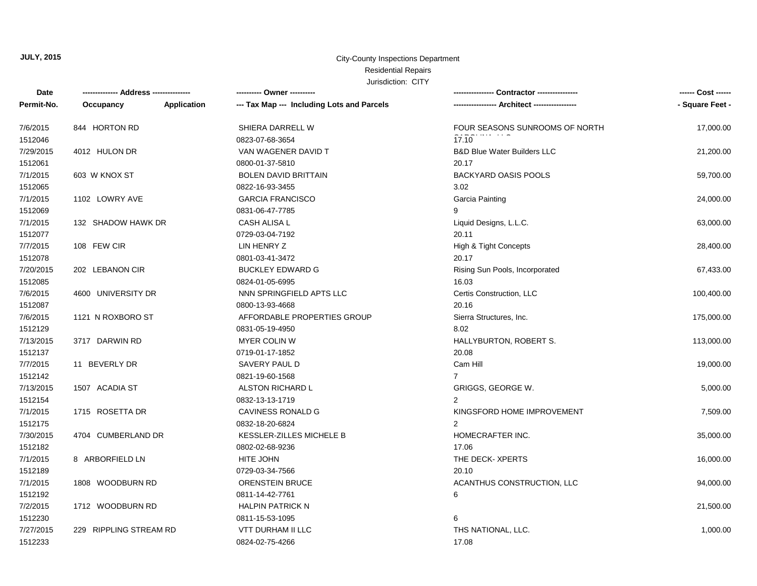#### City-County Inspections Department

# Residential Repairs

| Date       | -------------- Address --------------- |             | ---------- Owner ----------                | Contractor ---------------             | ------ Cost ------ |
|------------|----------------------------------------|-------------|--------------------------------------------|----------------------------------------|--------------------|
| Permit-No. | Occupancy                              | Application | --- Tax Map --- Including Lots and Parcels | -- Architect -----------------         | - Square Feet -    |
| 7/6/2015   | 844 HORTON RD                          |             | SHIERA DARRELL W                           | FOUR SEASONS SUNROOMS OF NORTH         | 17,000.00          |
| 1512046    |                                        |             | 0823-07-68-3654                            | 17.10                                  |                    |
| 7/29/2015  | 4012 HULON DR                          |             | VAN WAGENER DAVID T                        | <b>B&amp;D Blue Water Builders LLC</b> | 21,200.00          |
| 1512061    |                                        |             | 0800-01-37-5810                            | 20.17                                  |                    |
| 7/1/2015   | 603 W KNOX ST                          |             | <b>BOLEN DAVID BRITTAIN</b>                | <b>BACKYARD OASIS POOLS</b>            | 59,700.00          |
| 1512065    |                                        |             | 0822-16-93-3455                            | 3.02                                   |                    |
| 7/1/2015   | 1102 LOWRY AVE                         |             | <b>GARCIA FRANCISCO</b>                    | Garcia Painting                        | 24,000.00          |
| 1512069    |                                        |             | 0831-06-47-7785                            | 9                                      |                    |
| 7/1/2015   | 132 SHADOW HAWK DR                     |             | CASH ALISA L                               | Liquid Designs, L.L.C.                 | 63,000.00          |
| 1512077    |                                        |             | 0729-03-04-7192                            | 20.11                                  |                    |
| 7/7/2015   | 108 FEW CIR                            |             | LIN HENRY Z                                | High & Tight Concepts                  | 28,400.00          |
| 1512078    |                                        |             | 0801-03-41-3472                            | 20.17                                  |                    |
| 7/20/2015  | 202 LEBANON CIR                        |             | <b>BUCKLEY EDWARD G</b>                    | Rising Sun Pools, Incorporated         | 67,433.00          |
| 1512085    |                                        |             | 0824-01-05-6995                            | 16.03                                  |                    |
| 7/6/2015   | 4600 UNIVERSITY DR                     |             | NNN SPRINGFIELD APTS LLC                   | Certis Construction, LLC               | 100,400.00         |
| 1512087    |                                        |             | 0800-13-93-4668                            | 20.16                                  |                    |
| 7/6/2015   | 1121 N ROXBORO ST                      |             | AFFORDABLE PROPERTIES GROUP                | Sierra Structures, Inc.                | 175,000.00         |
| 1512129    |                                        |             | 0831-05-19-4950                            | 8.02                                   |                    |
| 7/13/2015  | 3717 DARWIN RD                         |             | <b>MYER COLIN W</b>                        | HALLYBURTON, ROBERT S.                 | 113,000.00         |
| 1512137    |                                        |             | 0719-01-17-1852                            | 20.08                                  |                    |
| 7/7/2015   | 11 BEVERLY DR                          |             | SAVERY PAUL D                              | Cam Hill                               | 19,000.00          |
| 1512142    |                                        |             | 0821-19-60-1568                            | $\overline{7}$                         |                    |
| 7/13/2015  | 1507 ACADIA ST                         |             | ALSTON RICHARD L                           | GRIGGS, GEORGE W.                      | 5,000.00           |
| 1512154    |                                        |             | 0832-13-13-1719                            | 2                                      |                    |
| 7/1/2015   | 1715 ROSETTA DR                        |             | CAVINESS RONALD G                          | KINGSFORD HOME IMPROVEMENT             | 7,509.00           |
| 1512175    |                                        |             | 0832-18-20-6824                            | 2                                      |                    |
| 7/30/2015  | 4704 CUMBERLAND DR                     |             | KESSLER-ZILLES MICHELE B                   | HOMECRAFTER INC.                       | 35,000.00          |
| 1512182    |                                        |             | 0802-02-68-9236                            | 17.06                                  |                    |
| 7/1/2015   | 8 ARBORFIELD LN                        |             | HITE JOHN                                  | THE DECK- XPERTS                       | 16,000.00          |
| 1512189    |                                        |             | 0729-03-34-7566                            | 20.10                                  |                    |
| 7/1/2015   | 1808 WOODBURN RD                       |             | <b>ORENSTEIN BRUCE</b>                     | ACANTHUS CONSTRUCTION, LLC             | 94,000.00          |
| 1512192    |                                        |             | 0811-14-42-7761                            | 6                                      |                    |
| 7/2/2015   | 1712 WOODBURN RD                       |             | <b>HALPIN PATRICK N</b>                    |                                        | 21,500.00          |
| 1512230    |                                        |             | 0811-15-53-1095                            | 6                                      |                    |
| 7/27/2015  | 229 RIPPLING STREAM RD                 |             | <b>VTT DURHAM II LLC</b>                   | THS NATIONAL, LLC.                     | 1,000.00           |
| 1512233    |                                        |             | 0824-02-75-4266                            | 17.08                                  |                    |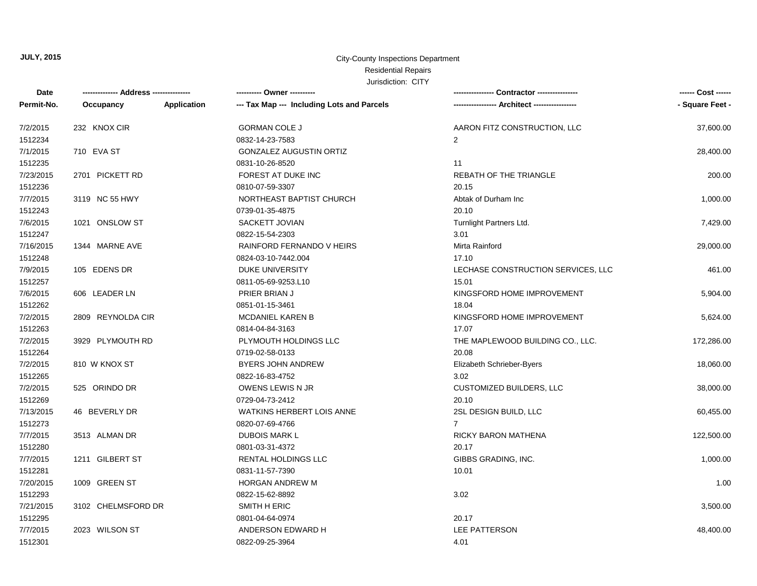#### City-County Inspections Department Residential Repairs

| Date       | ------------- Address -------------- |             | ---------- Owner ----------                |                                    | ------ Cost ------ |
|------------|--------------------------------------|-------------|--------------------------------------------|------------------------------------|--------------------|
| Permit-No. | Occupancy                            | Application | --- Tax Map --- Including Lots and Parcels |                                    | - Square Feet -    |
| 7/2/2015   | 232 KNOX CIR                         |             | <b>GORMAN COLE J</b>                       | AARON FITZ CONSTRUCTION, LLC       | 37,600.00          |
| 1512234    |                                      |             | 0832-14-23-7583                            | 2                                  |                    |
| 7/1/2015   | 710 EVA ST                           |             | <b>GONZALEZ AUGUSTIN ORTIZ</b>             |                                    | 28,400.00          |
| 1512235    |                                      |             | 0831-10-26-8520                            | 11                                 |                    |
| 7/23/2015  | 2701 PICKETT RD                      |             | FOREST AT DUKE INC                         | <b>REBATH OF THE TRIANGLE</b>      | 200.00             |
| 1512236    |                                      |             | 0810-07-59-3307                            | 20.15                              |                    |
| 7/7/2015   | 3119 NC 55 HWY                       |             | NORTHEAST BAPTIST CHURCH                   | Abtak of Durham Inc                | 1,000.00           |
| 1512243    |                                      |             | 0739-01-35-4875                            | 20.10                              |                    |
| 7/6/2015   | 1021 ONSLOW ST                       |             | SACKETT JOVIAN                             | Turnlight Partners Ltd.            | 7,429.00           |
| 1512247    |                                      |             | 0822-15-54-2303                            | 3.01                               |                    |
| 7/16/2015  | 1344 MARNE AVE                       |             | RAINFORD FERNANDO V HEIRS                  | Mirta Rainford                     | 29,000.00          |
| 1512248    |                                      |             | 0824-03-10-7442.004                        | 17.10                              |                    |
| 7/9/2015   | 105 EDENS DR                         |             | <b>DUKE UNIVERSITY</b>                     | LECHASE CONSTRUCTION SERVICES, LLC | 461.00             |
| 1512257    |                                      |             | 0811-05-69-9253.L10                        | 15.01                              |                    |
| 7/6/2015   | 606 LEADER LN                        |             | PRIER BRIAN J                              | KINGSFORD HOME IMPROVEMENT         | 5,904.00           |
| 1512262    |                                      |             | 0851-01-15-3461                            | 18.04                              |                    |
| 7/2/2015   | 2809 REYNOLDA CIR                    |             | <b>MCDANIEL KAREN B</b>                    | KINGSFORD HOME IMPROVEMENT         | 5,624.00           |
| 1512263    |                                      |             | 0814-04-84-3163                            | 17.07                              |                    |
| 7/2/2015   | 3929 PLYMOUTH RD                     |             | PLYMOUTH HOLDINGS LLC                      | THE MAPLEWOOD BUILDING CO., LLC.   | 172,286.00         |
| 1512264    |                                      |             | 0719-02-58-0133                            | 20.08                              |                    |
| 7/2/2015   | 810 W KNOX ST                        |             | <b>BYERS JOHN ANDREW</b>                   | Elizabeth Schrieber-Byers          | 18,060.00          |
| 1512265    |                                      |             | 0822-16-83-4752                            | 3.02                               |                    |
| 7/2/2015   | 525 ORINDO DR                        |             | OWENS LEWIS N JR                           | <b>CUSTOMIZED BUILDERS, LLC</b>    | 38,000.00          |
| 1512269    |                                      |             | 0729-04-73-2412                            | 20.10                              |                    |
| 7/13/2015  | 46 BEVERLY DR                        |             | <b>WATKINS HERBERT LOIS ANNE</b>           | 2SL DESIGN BUILD, LLC              | 60,455.00          |
| 1512273    |                                      |             | 0820-07-69-4766                            | $\overline{7}$                     |                    |
| 7/7/2015   | 3513 ALMAN DR                        |             | <b>DUBOIS MARK L</b>                       | RICKY BARON MATHENA                | 122,500.00         |
| 1512280    |                                      |             | 0801-03-31-4372                            | 20.17                              |                    |
| 7/7/2015   | 1211 GILBERT ST                      |             | RENTAL HOLDINGS LLC                        | GIBBS GRADING, INC.                | 1,000.00           |
| 1512281    |                                      |             | 0831-11-57-7390                            | 10.01                              |                    |
| 7/20/2015  | 1009 GREEN ST                        |             | <b>HORGAN ANDREW M</b>                     |                                    | 1.00               |
| 1512293    |                                      |             | 0822-15-62-8892                            | 3.02                               |                    |
| 7/21/2015  | 3102 CHELMSFORD DR                   |             | SMITH H ERIC                               |                                    | 3,500.00           |
| 1512295    |                                      |             | 0801-04-64-0974                            | 20.17                              |                    |
| 7/7/2015   | 2023 WILSON ST                       |             | ANDERSON EDWARD H                          | LEE PATTERSON                      | 48,400.00          |
| 1512301    |                                      |             | 0822-09-25-3964                            | 4.01                               |                    |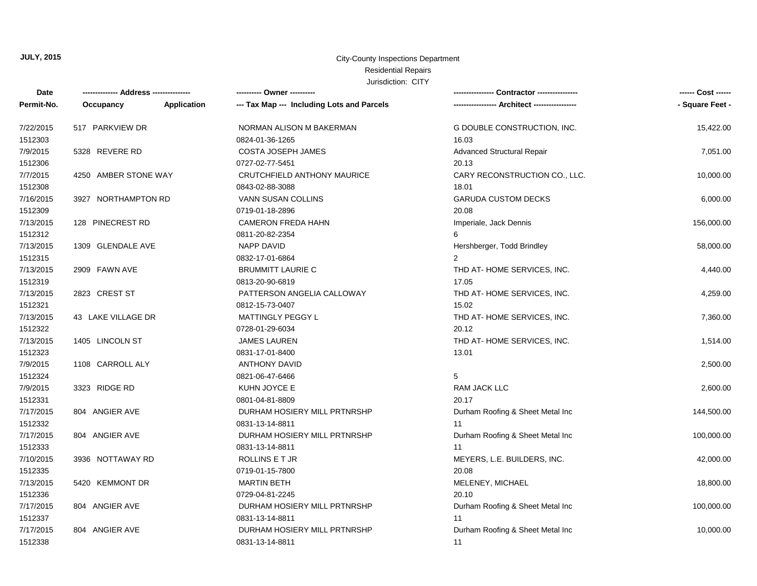#### City-County Inspections Department

## Residential Repairs

| Date       |                      |             | --------- Owner ---------                  |                                   | ------ Cost ------ |
|------------|----------------------|-------------|--------------------------------------------|-----------------------------------|--------------------|
| Permit-No. | Occupancy            | Application | --- Tax Map --- Including Lots and Parcels |                                   | - Square Feet -    |
| 7/22/2015  | 517 PARKVIEW DR      |             | NORMAN ALISON M BAKERMAN                   | G DOUBLE CONSTRUCTION, INC.       | 15,422.00          |
| 1512303    |                      |             | 0824-01-36-1265                            | 16.03                             |                    |
| 7/9/2015   | 5328 REVERE RD       |             | <b>COSTA JOSEPH JAMES</b>                  | <b>Advanced Structural Repair</b> | 7,051.00           |
| 1512306    |                      |             | 0727-02-77-5451                            | 20.13                             |                    |
| 7/7/2015   | 4250 AMBER STONE WAY |             | CRUTCHFIELD ANTHONY MAURICE                | CARY RECONSTRUCTION CO., LLC.     | 10,000.00          |
| 1512308    |                      |             | 0843-02-88-3088                            | 18.01                             |                    |
| 7/16/2015  | 3927 NORTHAMPTON RD  |             | <b>VANN SUSAN COLLINS</b>                  | <b>GARUDA CUSTOM DECKS</b>        | 6,000.00           |
| 1512309    |                      |             | 0719-01-18-2896                            | 20.08                             |                    |
| 7/13/2015  | 128 PINECREST RD     |             | <b>CAMERON FREDA HAHN</b>                  | Imperiale, Jack Dennis            | 156,000.00         |
| 1512312    |                      |             | 0811-20-82-2354                            | 6                                 |                    |
| 7/13/2015  | 1309 GLENDALE AVE    |             | <b>NAPP DAVID</b>                          | Hershberger, Todd Brindley        | 58,000.00          |
| 1512315    |                      |             | 0832-17-01-6864                            | $\overline{2}$                    |                    |
| 7/13/2015  | 2909 FAWN AVE        |             | <b>BRUMMITT LAURIE C</b>                   | THD AT-HOME SERVICES, INC.        | 4,440.00           |
| 1512319    |                      |             | 0813-20-90-6819                            | 17.05                             |                    |
| 7/13/2015  | 2823 CREST ST        |             | PATTERSON ANGELIA CALLOWAY                 | THD AT-HOME SERVICES, INC.        | 4,259.00           |
| 1512321    |                      |             | 0812-15-73-0407                            | 15.02                             |                    |
| 7/13/2015  | 43 LAKE VILLAGE DR   |             | <b>MATTINGLY PEGGY L</b>                   | THD AT-HOME SERVICES, INC.        | 7,360.00           |
| 1512322    |                      |             | 0728-01-29-6034                            | 20.12                             |                    |
| 7/13/2015  | 1405 LINCOLN ST      |             | <b>JAMES LAUREN</b>                        | THD AT-HOME SERVICES, INC.        | 1,514.00           |
| 1512323    |                      |             | 0831-17-01-8400                            | 13.01                             |                    |
| 7/9/2015   | 1108 CARROLL ALY     |             | <b>ANTHONY DAVID</b>                       |                                   | 2,500.00           |
| 1512324    |                      |             | 0821-06-47-6466                            | 5                                 |                    |
| 7/9/2015   | 3323 RIDGE RD        |             | KUHN JOYCE E                               | RAM JACK LLC                      | 2,600.00           |
| 1512331    |                      |             | 0801-04-81-8809                            | 20.17                             |                    |
| 7/17/2015  | 804 ANGIER AVE       |             | DURHAM HOSIERY MILL PRTNRSHP               | Durham Roofing & Sheet Metal Inc  | 144,500.00         |
| 1512332    |                      |             | 0831-13-14-8811                            | 11                                |                    |
| 7/17/2015  | 804 ANGIER AVE       |             | DURHAM HOSIERY MILL PRTNRSHP               | Durham Roofing & Sheet Metal Inc  | 100,000.00         |
| 1512333    |                      |             | 0831-13-14-8811                            | 11                                |                    |
| 7/10/2015  | 3936 NOTTAWAY RD     |             | ROLLINS E T JR                             | MEYERS, L.E. BUILDERS, INC.       | 42,000.00          |
| 1512335    |                      |             | 0719-01-15-7800                            | 20.08                             |                    |
| 7/13/2015  | 5420 KEMMONT DR      |             | <b>MARTIN BETH</b>                         | MELENEY, MICHAEL                  | 18,800.00          |
| 1512336    |                      |             | 0729-04-81-2245                            | 20.10                             |                    |
| 7/17/2015  | 804 ANGIER AVE       |             | DURHAM HOSIERY MILL PRTNRSHP               | Durham Roofing & Sheet Metal Inc  | 100,000.00         |
| 1512337    |                      |             | 0831-13-14-8811                            | 11                                |                    |
| 7/17/2015  | 804 ANGIER AVE       |             | DURHAM HOSIERY MILL PRTNRSHP               | Durham Roofing & Sheet Metal Inc  | 10,000.00          |
| 1512338    |                      |             | 0831-13-14-8811                            | 11                                |                    |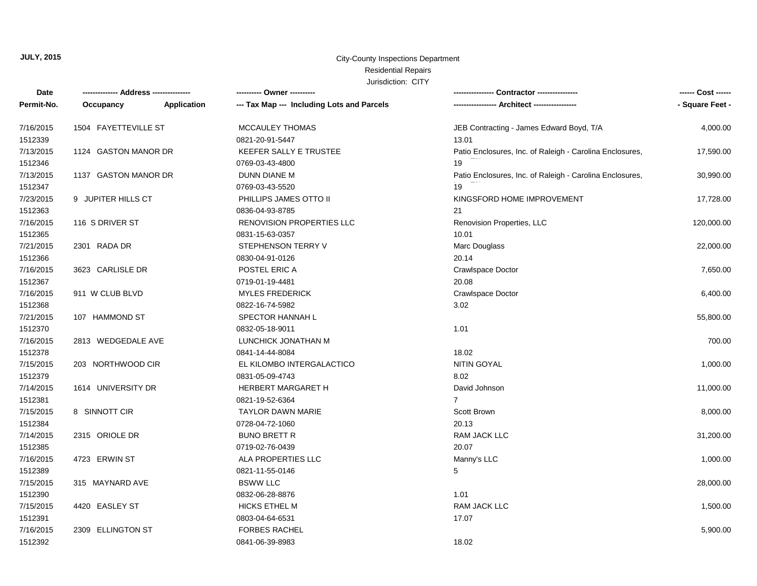#### City-County Inspections Department

## Residential Repairs

| Date       |                      |             | ---------- Owner ----------                |                                                          | ------ Cost ------ |
|------------|----------------------|-------------|--------------------------------------------|----------------------------------------------------------|--------------------|
| Permit-No. | Occupancy            | Application | --- Tax Map --- Including Lots and Parcels | --- Architect -----------------                          | - Square Feet -    |
| 7/16/2015  | 1504 FAYETTEVILLE ST |             | MCCAULEY THOMAS                            | JEB Contracting - James Edward Boyd, T/A                 | 4,000.00           |
| 1512339    |                      |             | 0821-20-91-5447                            | 13.01                                                    |                    |
| 7/13/2015  | 1124 GASTON MANOR DR |             | <b>KEEFER SALLY E TRUSTEE</b>              | Patio Enclosures, Inc. of Raleigh - Carolina Enclosures, | 17,590.00          |
| 1512346    |                      |             | 0769-03-43-4800                            | 19                                                       |                    |
| 7/13/2015  | 1137 GASTON MANOR DR |             | <b>DUNN DIANE M</b>                        | Patio Enclosures, Inc. of Raleigh - Carolina Enclosures, | 30,990.00          |
| 1512347    |                      |             | 0769-03-43-5520                            | 19                                                       |                    |
| 7/23/2015  | 9 JUPITER HILLS CT   |             | PHILLIPS JAMES OTTO II                     | KINGSFORD HOME IMPROVEMENT                               | 17,728.00          |
| 1512363    |                      |             | 0836-04-93-8785                            | 21                                                       |                    |
| 7/16/2015  | 116 S DRIVER ST      |             | <b>RENOVISION PROPERTIES LLC</b>           | Renovision Properties, LLC                               | 120,000.00         |
| 1512365    |                      |             | 0831-15-63-0357                            | 10.01                                                    |                    |
| 7/21/2015  | 2301 RADA DR         |             | STEPHENSON TERRY V                         | Marc Douglass                                            | 22,000.00          |
| 1512366    |                      |             | 0830-04-91-0126                            | 20.14                                                    |                    |
| 7/16/2015  | 3623 CARLISLE DR     |             | POSTEL ERIC A                              | Crawlspace Doctor                                        | 7,650.00           |
| 1512367    |                      |             | 0719-01-19-4481                            | 20.08                                                    |                    |
| 7/16/2015  | 911 W CLUB BLVD      |             | <b>MYLES FREDERICK</b>                     | Crawlspace Doctor                                        | 6,400.00           |
| 1512368    |                      |             | 0822-16-74-5982                            | 3.02                                                     |                    |
| 7/21/2015  | 107 HAMMOND ST       |             | SPECTOR HANNAH L                           |                                                          | 55,800.00          |
| 1512370    |                      |             | 0832-05-18-9011                            | 1.01                                                     |                    |
| 7/16/2015  | 2813 WEDGEDALE AVE   |             | LUNCHICK JONATHAN M                        |                                                          | 700.00             |
| 1512378    |                      |             | 0841-14-44-8084                            | 18.02                                                    |                    |
| 7/15/2015  | 203 NORTHWOOD CIR    |             | EL KILOMBO INTERGALACTICO                  | <b>NITIN GOYAL</b>                                       | 1,000.00           |
| 1512379    |                      |             | 0831-05-09-4743                            | 8.02                                                     |                    |
| 7/14/2015  | 1614 UNIVERSITY DR   |             | <b>HERBERT MARGARET H</b>                  | David Johnson                                            | 11,000.00          |
| 1512381    |                      |             | 0821-19-52-6364                            | $\overline{7}$                                           |                    |
| 7/15/2015  | 8 SINNOTT CIR        |             | <b>TAYLOR DAWN MARIE</b>                   | Scott Brown                                              | 8,000.00           |
| 1512384    |                      |             | 0728-04-72-1060                            | 20.13                                                    |                    |
| 7/14/2015  | 2315 ORIOLE DR       |             | <b>BUNO BRETT R</b>                        | RAM JACK LLC                                             | 31,200.00          |
| 1512385    |                      |             | 0719-02-76-0439                            | 20.07                                                    |                    |
| 7/16/2015  | 4723 ERWIN ST        |             | ALA PROPERTIES LLC                         | Manny's LLC                                              | 1,000.00           |
| 1512389    |                      |             | 0821-11-55-0146                            | 5                                                        |                    |
| 7/15/2015  | 315 MAYNARD AVE      |             | <b>BSWW LLC</b>                            |                                                          | 28,000.00          |
| 1512390    |                      |             | 0832-06-28-8876                            | 1.01                                                     |                    |
| 7/15/2015  | 4420 EASLEY ST       |             | <b>HICKS ETHEL M</b>                       | RAM JACK LLC                                             | 1,500.00           |
| 1512391    |                      |             | 0803-04-64-6531                            | 17.07                                                    |                    |
| 7/16/2015  | 2309 ELLINGTON ST    |             | <b>FORBES RACHEL</b>                       |                                                          | 5,900.00           |
| 1512392    |                      |             | 0841-06-39-8983                            | 18.02                                                    |                    |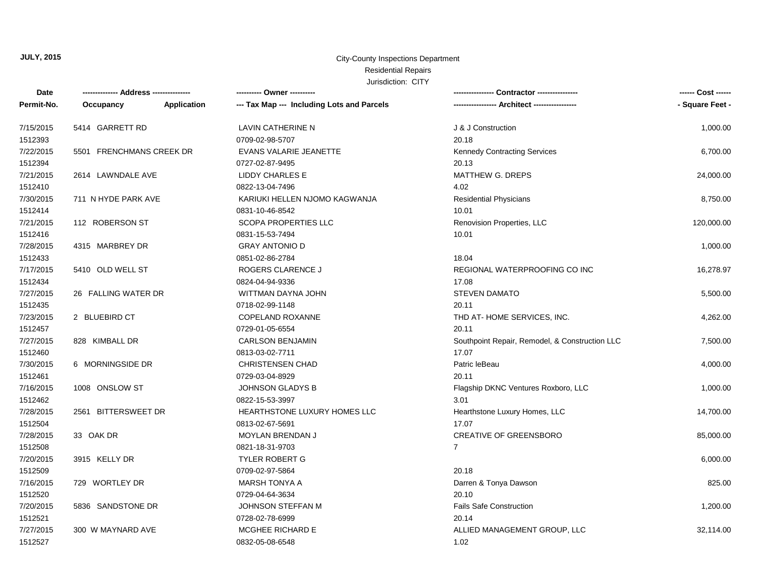#### City-County Inspections Department

# Residential Repairs

| Date       |                          |             | ---------- Owner ----------                |                                                | ------ Cost ------ |
|------------|--------------------------|-------------|--------------------------------------------|------------------------------------------------|--------------------|
| Permit-No. | Occupancy                | Application | --- Tax Map --- Including Lots and Parcels | ----------------- Architect -----------------  | - Square Feet -    |
| 7/15/2015  | 5414 GARRETT RD          |             | LAVIN CATHERINE N                          | J & J Construction                             | 1,000.00           |
| 1512393    |                          |             | 0709-02-98-5707                            | 20.18                                          |                    |
| 7/22/2015  | 5501 FRENCHMANS CREEK DR |             | EVANS VALARIE JEANETTE                     | <b>Kennedy Contracting Services</b>            | 6,700.00           |
| 1512394    |                          |             | 0727-02-87-9495                            | 20.13                                          |                    |
| 7/21/2015  | 2614 LAWNDALE AVE        |             | LIDDY CHARLES E                            | MATTHEW G. DREPS                               | 24,000.00          |
| 1512410    |                          |             | 0822-13-04-7496                            | 4.02                                           |                    |
| 7/30/2015  | 711 N HYDE PARK AVE      |             | KARIUKI HELLEN NJOMO KAGWANJA              | <b>Residential Physicians</b>                  | 8,750.00           |
| 1512414    |                          |             | 0831-10-46-8542                            | 10.01                                          |                    |
| 7/21/2015  | 112 ROBERSON ST          |             | <b>SCOPA PROPERTIES LLC</b>                | Renovision Properties, LLC                     | 120,000.00         |
| 1512416    |                          |             | 0831-15-53-7494                            | 10.01                                          |                    |
| 7/28/2015  | 4315 MARBREY DR          |             | <b>GRAY ANTONIO D</b>                      |                                                | 1,000.00           |
| 1512433    |                          |             | 0851-02-86-2784                            | 18.04                                          |                    |
| 7/17/2015  | 5410 OLD WELL ST         |             | ROGERS CLARENCE J                          | REGIONAL WATERPROOFING CO INC                  | 16,278.97          |
| 1512434    |                          |             | 0824-04-94-9336                            | 17.08                                          |                    |
| 7/27/2015  | 26 FALLING WATER DR      |             | WITTMAN DAYNA JOHN                         | <b>STEVEN DAMATO</b>                           | 5,500.00           |
| 1512435    |                          |             | 0718-02-99-1148                            | 20.11                                          |                    |
| 7/23/2015  | 2 BLUEBIRD CT            |             | COPELAND ROXANNE                           | THD AT-HOME SERVICES, INC.                     | 4,262.00           |
| 1512457    |                          |             | 0729-01-05-6554                            | 20.11                                          |                    |
| 7/27/2015  | 828 KIMBALL DR           |             | <b>CARLSON BENJAMIN</b>                    | Southpoint Repair, Remodel, & Construction LLC | 7,500.00           |
| 1512460    |                          |             | 0813-03-02-7711                            | 17.07                                          |                    |
| 7/30/2015  | 6 MORNINGSIDE DR         |             | CHRISTENSEN CHAD                           | Patric leBeau                                  | 4,000.00           |
| 1512461    |                          |             | 0729-03-04-8929                            | 20.11                                          |                    |
| 7/16/2015  | 1008 ONSLOW ST           |             | <b>JOHNSON GLADYS B</b>                    | Flagship DKNC Ventures Roxboro, LLC            | 1,000.00           |
| 1512462    |                          |             | 0822-15-53-3997                            | 3.01                                           |                    |
| 7/28/2015  | 2561 BITTERSWEET DR      |             | HEARTHSTONE LUXURY HOMES LLC               | Hearthstone Luxury Homes, LLC                  | 14,700.00          |
| 1512504    |                          |             | 0813-02-67-5691                            | 17.07                                          |                    |
| 7/28/2015  | 33 OAK DR                |             | MOYLAN BRENDAN J                           | <b>CREATIVE OF GREENSBORO</b>                  | 85,000.00          |
| 1512508    |                          |             | 0821-18-31-9703                            | $\overline{7}$                                 |                    |
| 7/20/2015  | 3915 KELLY DR            |             | <b>TYLER ROBERT G</b>                      |                                                | 6,000.00           |
| 1512509    |                          |             | 0709-02-97-5864                            | 20.18                                          |                    |
| 7/16/2015  | 729 WORTLEY DR           |             | <b>MARSH TONYA A</b>                       | Darren & Tonya Dawson                          | 825.00             |
| 1512520    |                          |             | 0729-04-64-3634                            | 20.10                                          |                    |
| 7/20/2015  | 5836 SANDSTONE DR        |             | JOHNSON STEFFAN M                          | <b>Fails Safe Construction</b>                 | 1,200.00           |
| 1512521    |                          |             | 0728-02-78-6999                            | 20.14                                          |                    |
| 7/27/2015  | 300 W MAYNARD AVE        |             | <b>MCGHEE RICHARD E</b>                    | ALLIED MANAGEMENT GROUP, LLC                   | 32,114.00          |
| 1512527    |                          |             | 0832-05-08-6548                            | 1.02                                           |                    |